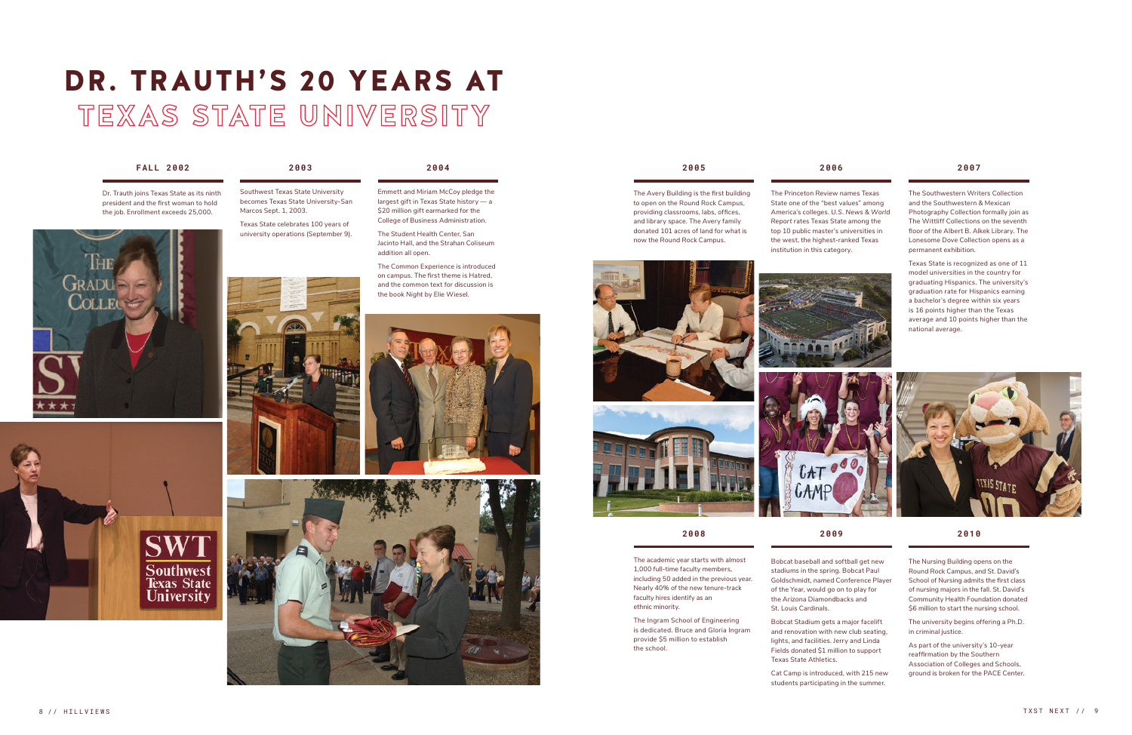# DR. TRAUTH'S 20 YEARS AT **TEXAS STATE UNIVERSITY**

## **FALL 2002 2003 2004 2005 2006 2007**

**2008 2009 2010**

Dr. Trauth joins Texas State as its ninth president and the first woman to hold the job. Enrollment exceeds 25,000.

Southwest Texas State University becomes Texas State University-San Marcos Sept. 1, 2003.

Texas State celebrates 100 years of university operations (September 9).







Emmett and Miriam McCoy pledge the largest gift in Texas State history — a \$20 million gift earmarked for the College of Business Administration.

The Student Health Center, San Jacinto Hall, and the Strahan Coliseum addition all open. The Common Experience is introduced

on campus. The first theme is Hatred, and the common text for discussion is the book *Night* by Elie Wiesel.





The Avery Building is the first building to open on the Round Rock Campus, providing classrooms, labs, offices, and library space. The Avery family donated 101 acres of land for what is now the Round Rock Campus.





The Princeton Review names Texas State one of the "best values" among America's colleges. *U.S. News & World Report* rates Texas State among the top 10 public master's universities in the west, the highest-ranked Texas institution in this category.

The Southwestern Writers Collection and the Southwestern & Mexican Photography Collection formally join as The Wittliff Collections on the seventh floor of the Albert B. Alkek Library. The Lonesome Dove Collection opens as a permanent exhibition.

Texas State is recognized as one of 11 model universities in the country for graduating Hispanics. The university's graduation rate for Hispanics earning



Bobcat baseball and softball get new stadiums in the spring. Bobcat Paul Goldschmidt, named Conference Player of the Year, would go on to play for the Arizona Diamondbacks and St. Louis Cardinals. Bobcat Stadium gets a major facelift

and renovation with new club seating, lights, and facilities. Jerry and Linda Fields donated \$1 million to support Texas State Athletics.

Cat Camp is introduced, with 215 new students participating in the summer.



The Nursing Building opens on the Round Rock Campus, and St. David's School of Nursing admits the first class of nursing majors in the fall. St. David's Community Health Foundation donated \$6 million to start the nursing school.

The university begins offering a Ph.D. in criminal justice.

As part of the university's 10-year reaffirmation by the Southern Association of Colleges and Schools, ground is broken for the PACE Center.

The academic year starts with almost 1,000 full-time faculty members, including 50 added in the previous year. Nearly 40% of the new tenure-track faculty hires identify as an ethnic minority.

The Ingram School of Engineering is dedicated. Bruce and Gloria Ingram provide \$5 million to establish the school.